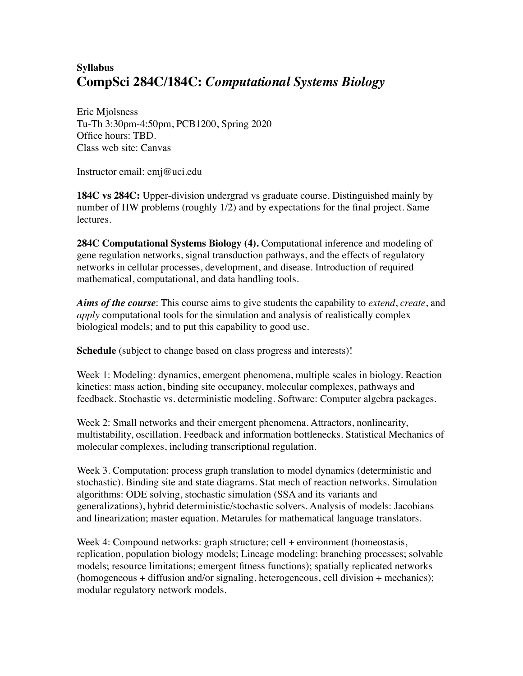## **Syllabus CompSci 284C/184C:** *Computational Systems Biology*

Eric Mjolsness Tu-Th 3:30pm-4:50pm, PCB1200, Spring 2020 Office hours: TBD. Class web site: Canvas

Instructor email: emj@uci.edu

**184C vs 284C:** Upper-division undergrad vs graduate course. Distinguished mainly by number of HW problems (roughly 1/2) and by expectations for the final project. Same lectures.

**284C Computational Systems Biology (4).** Computational inference and modeling of gene regulation networks, signal transduction pathways, and the effects of regulatory networks in cellular processes, development, and disease. Introduction of required mathematical, computational, and data handling tools.

*Aims of the course*: This course aims to give students the capability to *extend*, *create*, and *apply* computational tools for the simulation and analysis of realistically complex biological models; and to put this capability to good use.

**Schedule** (subject to change based on class progress and interests)!

Week 1: Modeling: dynamics, emergent phenomena, multiple scales in biology. Reaction kinetics: mass action, binding site occupancy, molecular complexes, pathways and feedback. Stochastic vs. deterministic modeling. Software: Computer algebra packages.

Week 2: Small networks and their emergent phenomena. Attractors, nonlinearity, multistability, oscillation. Feedback and information bottlenecks. Statistical Mechanics of molecular complexes, including transcriptional regulation.

Week 3. Computation: process graph translation to model dynamics (deterministic and stochastic). Binding site and state diagrams. Stat mech of reaction networks. Simulation algorithms: ODE solving, stochastic simulation (SSA and its variants and generalizations), hybrid deterministic/stochastic solvers. Analysis of models: Jacobians and linearization; master equation. Metarules for mathematical language translators.

Week 4: Compound networks: graph structure; cell + environment (homeostasis, replication, population biology models; Lineage modeling: branching processes; solvable models; resource limitations; emergent fitness functions); spatially replicated networks (homogeneous + diffusion and/or signaling, heterogeneous, cell division + mechanics); modular regulatory network models.